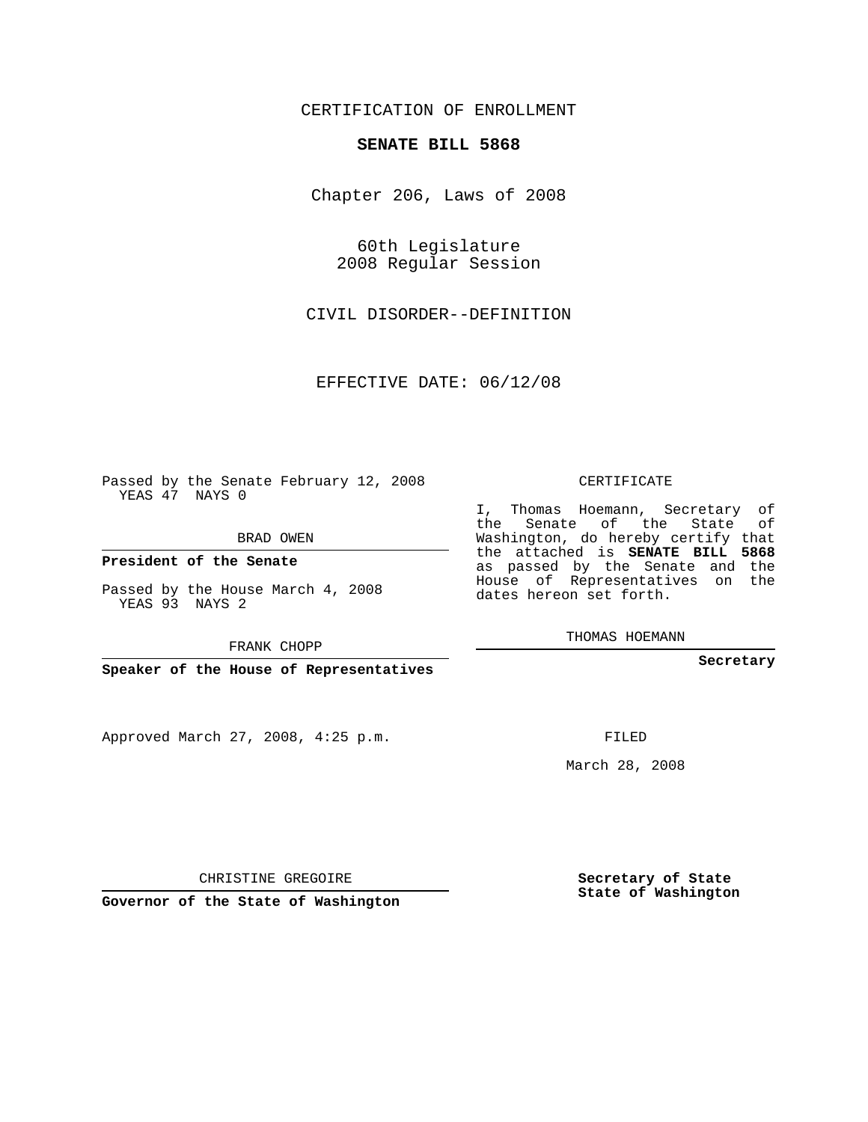CERTIFICATION OF ENROLLMENT

## **SENATE BILL 5868**

Chapter 206, Laws of 2008

60th Legislature 2008 Regular Session

CIVIL DISORDER--DEFINITION

EFFECTIVE DATE: 06/12/08

Passed by the Senate February 12, 2008 YEAS 47 NAYS 0

BRAD OWEN

**President of the Senate**

Passed by the House March 4, 2008 YEAS 93 NAYS 2

FRANK CHOPP

**Speaker of the House of Representatives**

Approved March 27, 2008, 4:25 p.m.

CERTIFICATE

I, Thomas Hoemann, Secretary of the Senate of the State of Washington, do hereby certify that the attached is **SENATE BILL 5868** as passed by the Senate and the House of Representatives on the dates hereon set forth.

THOMAS HOEMANN

**Secretary**

FILED

March 28, 2008

**Secretary of State State of Washington**

**Governor of the State of Washington**

CHRISTINE GREGOIRE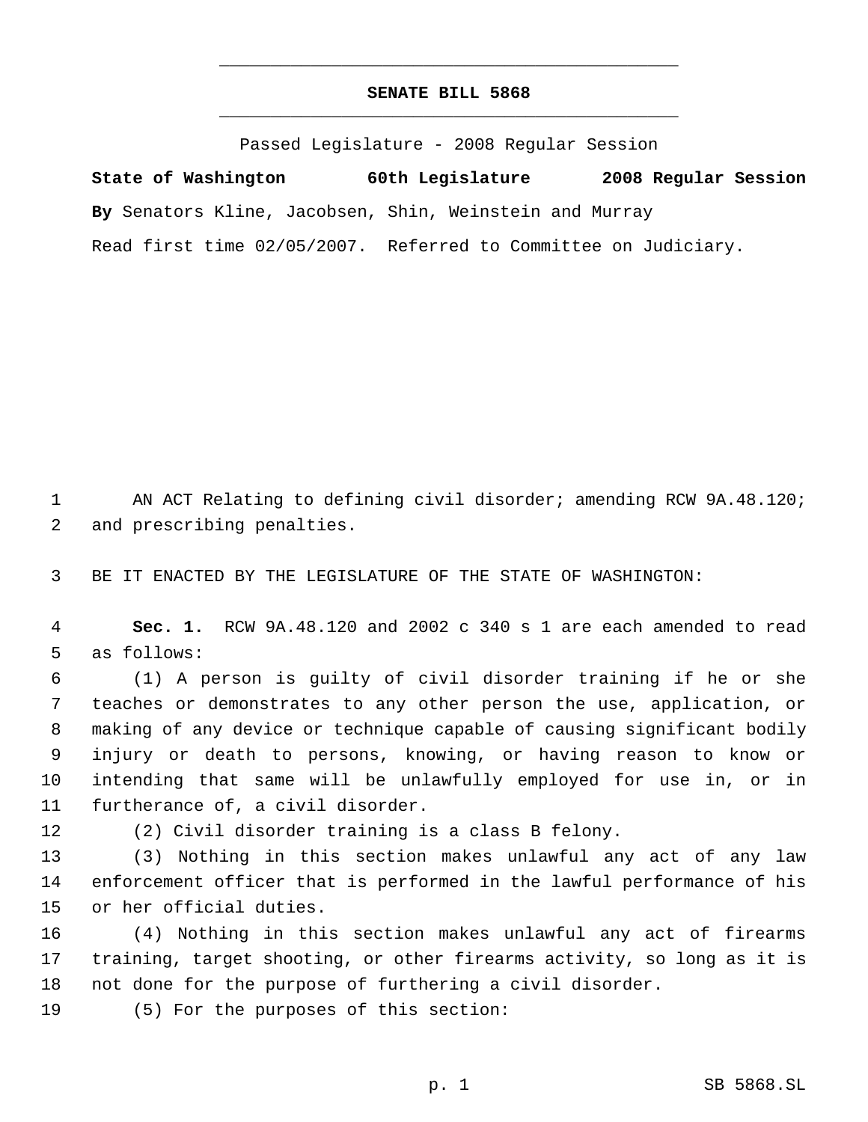## **SENATE BILL 5868** \_\_\_\_\_\_\_\_\_\_\_\_\_\_\_\_\_\_\_\_\_\_\_\_\_\_\_\_\_\_\_\_\_\_\_\_\_\_\_\_\_\_\_\_\_

\_\_\_\_\_\_\_\_\_\_\_\_\_\_\_\_\_\_\_\_\_\_\_\_\_\_\_\_\_\_\_\_\_\_\_\_\_\_\_\_\_\_\_\_\_

Passed Legislature - 2008 Regular Session

**State of Washington 60th Legislature 2008 Regular Session By** Senators Kline, Jacobsen, Shin, Weinstein and Murray Read first time 02/05/2007. Referred to Committee on Judiciary.

1 AN ACT Relating to defining civil disorder; amending RCW 9A.48.120; and prescribing penalties.

BE IT ENACTED BY THE LEGISLATURE OF THE STATE OF WASHINGTON:

 **Sec. 1.** RCW 9A.48.120 and 2002 c 340 s 1 are each amended to read as follows:

 (1) A person is guilty of civil disorder training if he or she teaches or demonstrates to any other person the use, application, or making of any device or technique capable of causing significant bodily injury or death to persons, knowing, or having reason to know or intending that same will be unlawfully employed for use in, or in furtherance of, a civil disorder.

(2) Civil disorder training is a class B felony.

 (3) Nothing in this section makes unlawful any act of any law enforcement officer that is performed in the lawful performance of his or her official duties.

 (4) Nothing in this section makes unlawful any act of firearms training, target shooting, or other firearms activity, so long as it is not done for the purpose of furthering a civil disorder.

(5) For the purposes of this section: